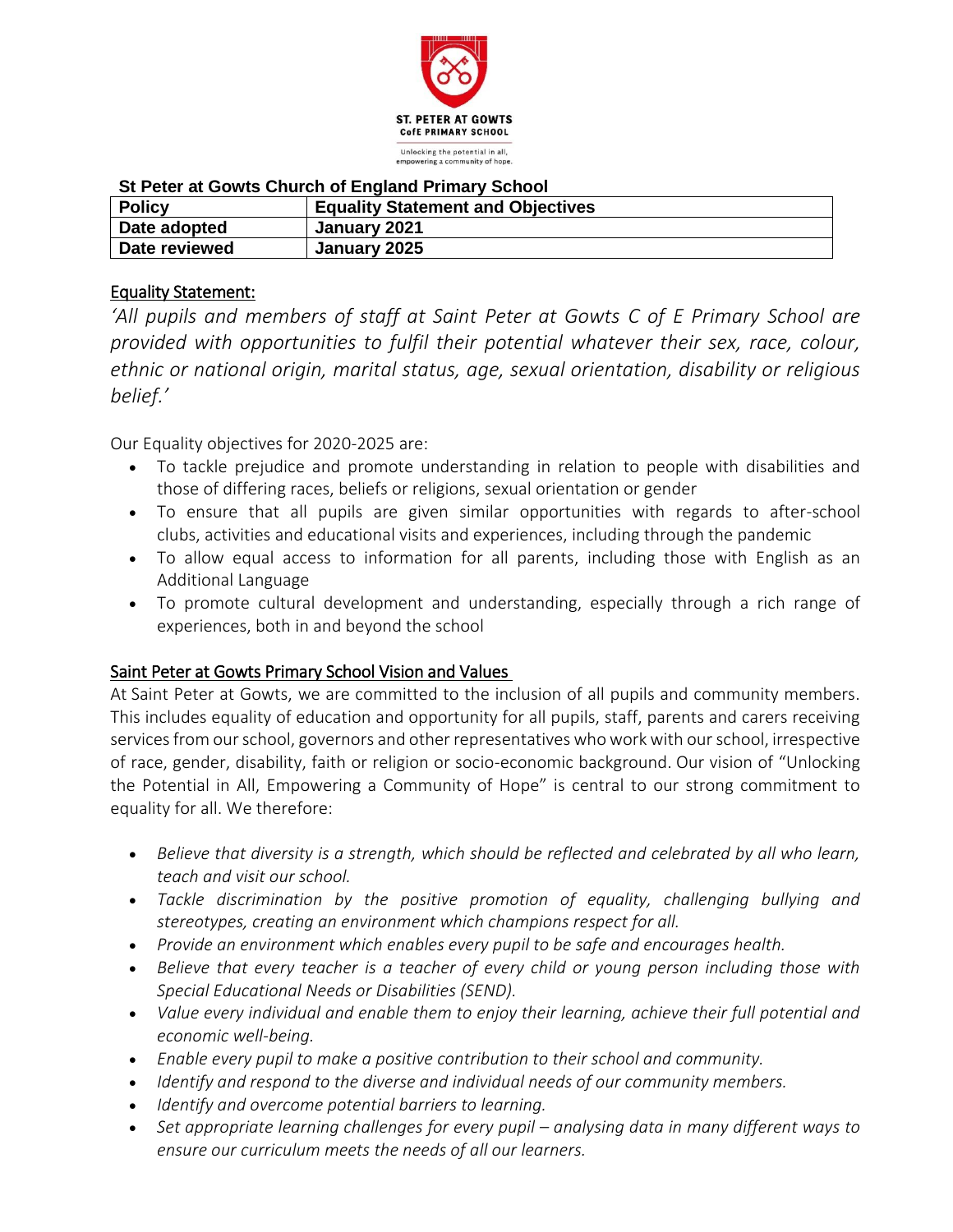

## **St Peter at Gowts Church of England Primary School**

| <b>Policy</b> | <b>Equality Statement and Objectives</b> |
|---------------|------------------------------------------|
| Date adopted  | January 2021                             |
| Date reviewed | January 2025                             |

## Equality Statement:

*'All pupils and members of staff at Saint Peter at Gowts C of E Primary School are provided with opportunities to fulfil their potential whatever their sex, race, colour, ethnic or national origin, marital status, age, sexual orientation, disability or religious belief.'*

Our Equality objectives for 2020-2025 are:

- To tackle prejudice and promote understanding in relation to people with disabilities and those of differing races, beliefs or religions, sexual orientation or gender
- To ensure that all pupils are given similar opportunities with regards to after-school clubs, activities and educational visits and experiences, including through the pandemic
- To allow equal access to information for all parents, including those with English as an Additional Language
- To promote cultural development and understanding, especially through a rich range of experiences, both in and beyond the school

## Saint Peter at Gowts Primary School Vision and Values

At Saint Peter at Gowts, we are committed to the inclusion of all pupils and community members. This includes equality of education and opportunity for all pupils, staff, parents and carers receiving services from our school, governors and other representatives who work with our school, irrespective of race, gender, disability, faith or religion or socio-economic background. Our vision of "Unlocking the Potential in All, Empowering a Community of Hope" is central to our strong commitment to equality for all. We therefore:

- *Believe that diversity is a strength, which should be reflected and celebrated by all who learn, teach and visit our school.*
- *Tackle discrimination by the positive promotion of equality, challenging bullying and stereotypes, creating an environment which champions respect for all.*
- *Provide an environment which enables every pupil to be safe and encourages health.*
- *Believe that every teacher is a teacher of every child or young person including those with Special Educational Needs or Disabilities (SEND).*
- *Value every individual and enable them to enjoy their learning, achieve their full potential and economic well-being.*
- *Enable every pupil to make a positive contribution to their school and community.*
- *Identify and respond to the diverse and individual needs of our community members.*
- *Identify and overcome potential barriers to learning.*
- Set appropriate learning challenges for every pupil analysing data in many different ways to *ensure our curriculum meets the needs of all our learners.*